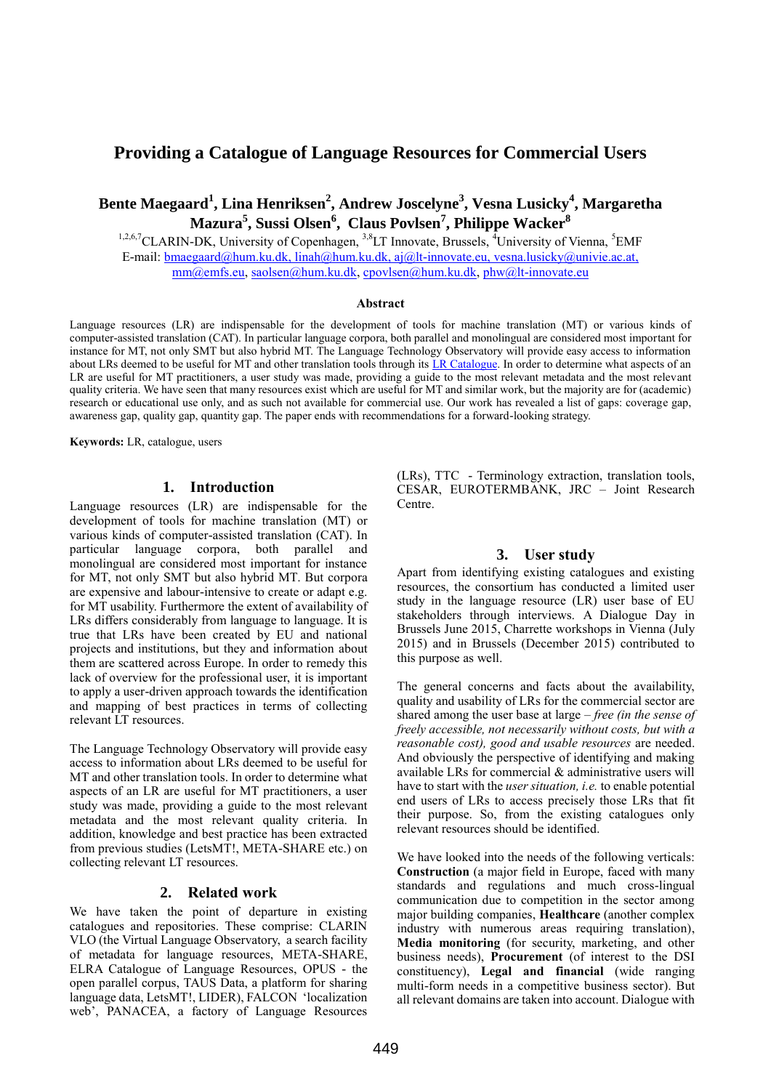# **Providing a Catalogue of Language Resources for Commercial Users**

**Bente Maegaard<sup>1</sup> , Lina Henriksen<sup>2</sup> , Andrew Joscelyne<sup>3</sup> , Vesna Lusicky<sup>4</sup> , Margaretha Mazura<sup>5</sup> , Sussi Olsen<sup>6</sup> , Claus Povlsen<sup>7</sup> , Philippe Wacker<sup>8</sup>**

<sup>1,2,6,7</sup>CLARIN-DK, University of Copenhagen, <sup>3,8</sup>LT Innovate, Brussels, <sup>4</sup>University of Vienna, <sup>5</sup>EMF E-mail: [bmaegaard@hum.ku.dk,](mailto:bmaegaard@hum.ku.dk) [linah@hum.ku.dk,](mailto:linah@hum.ku.dk) [aj@lt-innovate.eu,](mailto:aj@lt-innovate.eu) vesna.lusicky@univie.ac.at, [mm@emfs.eu,](mailto:mm@emfs.eu) [saolsen@hum.ku.dk,](mailto:saolsen@hum.ku.dk) [cpovlsen@hum.ku.dk,](mailto:cpovlsen@hum.ku.dk) [phw@lt-innovate.eu](mailto:phw@lt-innovate.eu)

### **Abstract**

Language resources (LR) are indispensable for the development of tools for machine translation (MT) or various kinds of computer-assisted translation (CAT). In particular language corpora, both parallel and monolingual are considered most important for instance for MT, not only SMT but also hybrid MT. The Language Technology Observatory will provide easy access to information about LRs deemed to be useful for MT and other translation tools through its [LR Catalogue.](http://www.lt-innovate.org/lt-observe/language-resources-observatory) In order to determine what aspects of an LR are useful for MT practitioners, a user study was made, providing a guide to the most relevant metadata and the most relevant quality criteria. We have seen that many resources exist which are useful for MT and similar work, but the majority are for (academic) research or educational use only, and as such not available for commercial use. Our work has revealed a list of gaps: coverage gap, awareness gap, quality gap, quantity gap. The paper ends with recommendations for a forward-looking strategy.

**Keywords:** LR, catalogue, users

# **1. Introduction**

Language resources (LR) are indispensable for the development of tools for machine translation (MT) or various kinds of computer-assisted translation (CAT). In particular language corpora, both parallel and monolingual are considered most important for instance for MT, not only SMT but also hybrid MT. But corpora are expensive and labour-intensive to create or adapt e.g. for MT usability. Furthermore the extent of availability of LRs differs considerably from language to language. It is true that LRs have been created by EU and national projects and institutions, but they and information about them are scattered across Europe. In order to remedy this lack of overview for the professional user, it is important to apply a user-driven approach towards the identification and mapping of best practices in terms of collecting relevant LT resources.

The Language Technology Observatory will provide easy access to information about LRs deemed to be useful for MT and other translation tools. In order to determine what aspects of an LR are useful for MT practitioners, a user study was made, providing a guide to the most relevant metadata and the most relevant quality criteria. In addition, knowledge and best practice has been extracted from previous studies (LetsMT!, META-SHARE etc.) on collecting relevant LT resources.

### **2. Related work**

We have taken the point of departure in existing catalogues and repositories. These comprise: CLARIN VLO (the Virtual Language Observatory, a search facility of metadata for language resources, META-SHARE, ELRA Catalogue of Language Resources, OPUS - the open parallel corpus, TAUS Data, a platform for sharing language data, LetsMT!, LIDER), FALCON 'localization web', PANACEA, a factory of Language Resources (LRs), TTC - Terminology extraction, translation tools, CESAR, EUROTERMBANK, JRC – Joint Research Centre.

# **3. User study**

Apart from identifying existing catalogues and existing resources, the consortium has conducted a limited user study in the language resource (LR) user base of EU stakeholders through interviews. A Dialogue Day in Brussels June 2015, Charrette workshops in Vienna (July 2015) and in Brussels (December 2015) contributed to this purpose as well.

The general concerns and facts about the availability, quality and usability of LRs for the commercial sector are shared among the user base at large – *free (in the sense of freely accessible, not necessarily without costs, but with a reasonable cost), good and usable resources* are needed. And obviously the perspective of identifying and making available LRs for commercial & administrative users will have to start with the *user situation, i.e.* to enable potential end users of LRs to access precisely those LRs that fit their purpose. So, from the existing catalogues only relevant resources should be identified.

We have looked into the needs of the following verticals: **Construction** (a major field in Europe, faced with many standards and regulations and much cross-lingual communication due to competition in the sector among major building companies, **Healthcare** (another complex industry with numerous areas requiring translation), **Media monitoring** (for security, marketing, and other business needs), **Procurement** (of interest to the DSI constituency), **Legal and financial** (wide ranging multi-form needs in a competitive business sector). But all relevant domains are taken into account. Dialogue with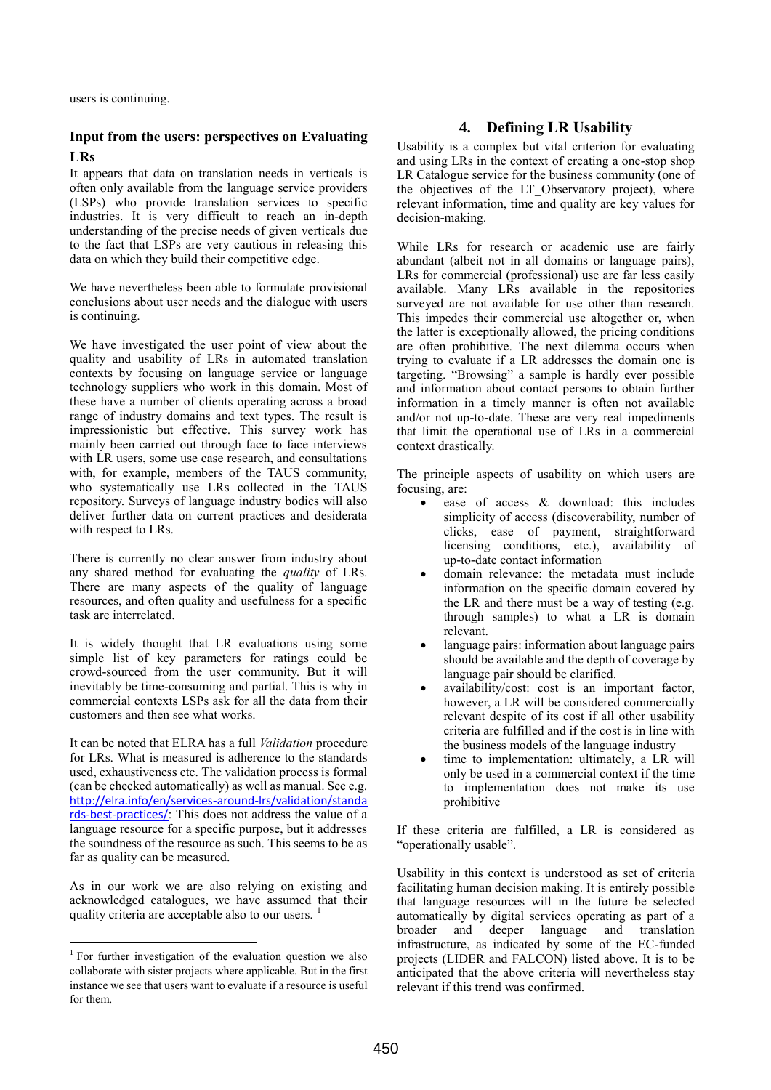users is continuing.

# **Input from the users: perspectives on Evaluating LRs**

It appears that data on translation needs in verticals is often only available from the language service providers (LSPs) who provide translation services to specific industries. It is very difficult to reach an in-depth understanding of the precise needs of given verticals due to the fact that LSPs are very cautious in releasing this data on which they build their competitive edge.

We have nevertheless been able to formulate provisional conclusions about user needs and the dialogue with users is continuing.

We have investigated the user point of view about the quality and usability of LRs in automated translation contexts by focusing on language service or language technology suppliers who work in this domain. Most of these have a number of clients operating across a broad range of industry domains and text types. The result is impressionistic but effective. This survey work has mainly been carried out through face to face interviews with LR users, some use case research, and consultations with, for example, members of the TAUS community, who systematically use LRs collected in the TAUS repository. Surveys of language industry bodies will also deliver further data on current practices and desiderata with respect to LRs.

There is currently no clear answer from industry about any shared method for evaluating the *quality* of LRs. There are many aspects of the quality of language resources, and often quality and usefulness for a specific task are interrelated.

It is widely thought that LR evaluations using some simple list of key parameters for ratings could be crowd-sourced from the user community. But it will inevitably be time-consuming and partial. This is why in commercial contexts LSPs ask for all the data from their customers and then see what works.

It can be noted that ELRA has a full *Validation* procedure for LRs. What is measured is adherence to the standards used, exhaustiveness etc. The validation process is formal (can be checked automatically) as well as manual. See e.g. [http://elra.info/en/services](http://elra.info/en/services-around-lrs/validation/standards-best-practices/)-around-lrs/validation/standa rds-best-[practices/](http://elra.info/en/services-around-lrs/validation/standards-best-practices/): This does not address the value of a language resource for a specific purpose, but it addresses the soundness of the resource as such. This seems to be as far as quality can be measured.

As in our work we are also relying on existing and acknowledged catalogues, we have assumed that their quality criteria are acceptable also to our users. <sup>1</sup>

l

# **4. Defining LR Usability**

Usability is a complex but vital criterion for evaluating and using LRs in the context of creating a one-stop shop LR Catalogue service for the business community (one of the objectives of the LT Observatory project), where relevant information, time and quality are key values for decision-making.

While LRs for research or academic use are fairly abundant (albeit not in all domains or language pairs), LRs for commercial (professional) use are far less easily available. Many LRs available in the repositories surveyed are not available for use other than research. This impedes their commercial use altogether or, when the latter is exceptionally allowed, the pricing conditions are often prohibitive. The next dilemma occurs when trying to evaluate if a LR addresses the domain one is targeting. "Browsing" a sample is hardly ever possible and information about contact persons to obtain further information in a timely manner is often not available and/or not up-to-date. These are very real impediments that limit the operational use of LRs in a commercial context drastically*.*

The principle aspects of usability on which users are focusing, are:

- ease of access & download: this includes simplicity of access (discoverability, number of clicks, ease of payment, straightforward licensing conditions, etc.), availability of up-to-date contact information
- domain relevance: the metadata must include information on the specific domain covered by the LR and there must be a way of testing (e.g. through samples) to what a LR is domain relevant.
- language pairs: information about language pairs should be available and the depth of coverage by language pair should be clarified.
- availability/cost: cost is an important factor, however, a LR will be considered commercially relevant despite of its cost if all other usability criteria are fulfilled and if the cost is in line with the business models of the language industry
- time to implementation: ultimately, a LR will only be used in a commercial context if the time to implementation does not make its use prohibitive

If these criteria are fulfilled, a LR is considered as "operationally usable".

Usability in this context is understood as set of criteria facilitating human decision making. It is entirely possible that language resources will in the future be selected automatically by digital services operating as part of a broader and deeper language and translation infrastructure, as indicated by some of the EC-funded projects (LIDER and FALCON) listed above. It is to be anticipated that the above criteria will nevertheless stay relevant if this trend was confirmed.

<sup>&</sup>lt;sup>1</sup> For further investigation of the evaluation question we also collaborate with sister projects where applicable. But in the first instance we see that users want to evaluate if a resource is useful for them.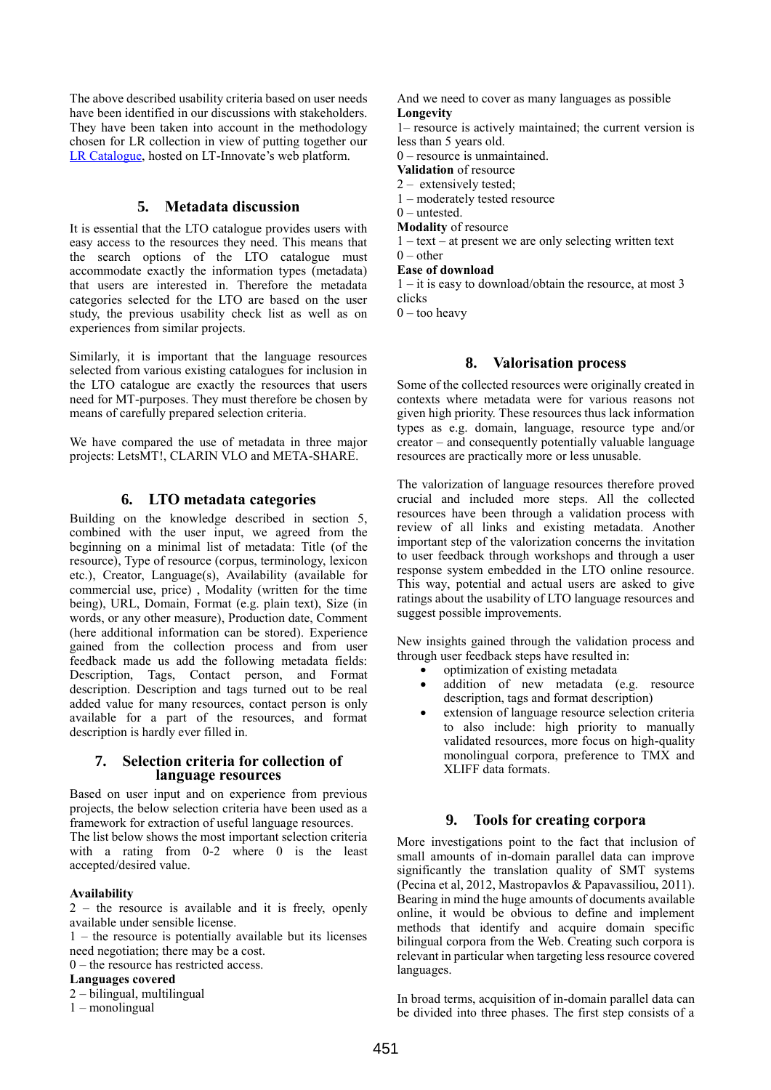The above described usability criteria based on user needs have been identified in our discussions with stakeholders. They have been taken into account in the methodology chosen for LR collection in view of putting together our [LR Catalogue,](http://www.lt-innovate.org/lt-observe/language-resources-observatory) hosted on LT-Innovate's web platform.

# **5. Metadata discussion**

It is essential that the LTO catalogue provides users with easy access to the resources they need. This means that the search options of the LTO catalogue must accommodate exactly the information types (metadata) that users are interested in. Therefore the metadata categories selected for the LTO are based on the user study, the previous usability check list as well as on experiences from similar projects.

Similarly, it is important that the language resources selected from various existing catalogues for inclusion in the LTO catalogue are exactly the resources that users need for MT-purposes. They must therefore be chosen by means of carefully prepared selection criteria.

We have compared the use of metadata in three major projects: LetsMT!, CLARIN VLO and META-SHARE.

### **6. LTO metadata categories**

Building on the knowledge described in section 5, combined with the user input, we agreed from the beginning on a minimal list of metadata: Title (of the resource), Type of resource (corpus, terminology, lexicon etc.), Creator, Language(s), Availability (available for commercial use, price) , Modality (written for the time being), URL, Domain, Format (e.g. plain text), Size (in words, or any other measure), Production date, Comment (here additional information can be stored). Experience gained from the collection process and from user feedback made us add the following metadata fields: Description, Tags, Contact person, and Format description. Description and tags turned out to be real added value for many resources, contact person is only available for a part of the resources, and format description is hardly ever filled in.

### **7. Selection criteria for collection of language resources**

Based on user input and on experience from previous projects, the below selection criteria have been used as a framework for extraction of useful language resources.

The list below shows the most important selection criteria with a rating from 0-2 where 0 is the least accepted/desired value.

### **Availability**

2 – the resource is available and it is freely, openly available under sensible license.

1 – the resource is potentially available but its licenses need negotiation; there may be a cost.

0 – the resource has restricted access.

### **Languages covered**

2 – bilingual, multilingual

1 – monolingual

And we need to cover as many languages as possible **Longevity**

1– resource is actively maintained; the current version is less than 5 years old.

0 – resource is unmaintained.

**Validation** of resource

2 – extensively tested;

1 – moderately tested resource

 $0$  – untested.

**Modality** of resource

1 – text – at present we are only selecting written text

 $0$  – other

**Ease of download**

1 – it is easy to download/obtain the resource, at most 3 clicks

 $0 -$  too heavy

### **8. Valorisation process**

Some of the collected resources were originally created in contexts where metadata were for various reasons not given high priority. These resources thus lack information types as e.g. domain, language, resource type and/or creator – and consequently potentially valuable language resources are practically more or less unusable.

The valorization of language resources therefore proved crucial and included more steps. All the collected resources have been through a validation process with review of all links and existing metadata. Another important step of the valorization concerns the invitation to user feedback through workshops and through a user response system embedded in the LTO online resource. This way, potential and actual users are asked to give ratings about the usability of LTO language resources and suggest possible improvements.

New insights gained through the validation process and through user feedback steps have resulted in:

- optimization of existing metadata
- addition of new metadata (e.g. resource description, tags and format description)
- extension of language resource selection criteria to also include: high priority to manually validated resources, more focus on high-quality monolingual corpora, preference to TMX and XLIFF data formats.

### **9. Tools for creating corpora**

More investigations point to the fact that inclusion of small amounts of in-domain parallel data can improve significantly the translation quality of SMT systems (Pecina et al, 2012, Mastropavlos & Papavassiliou, 2011). Bearing in mind the huge amounts of documents available online, it would be obvious to define and implement methods that identify and acquire domain specific bilingual corpora from the Web. Creating such corpora is relevant in particular when targeting less resource covered languages.

In broad terms, acquisition of in-domain parallel data can be divided into three phases. The first step consists of a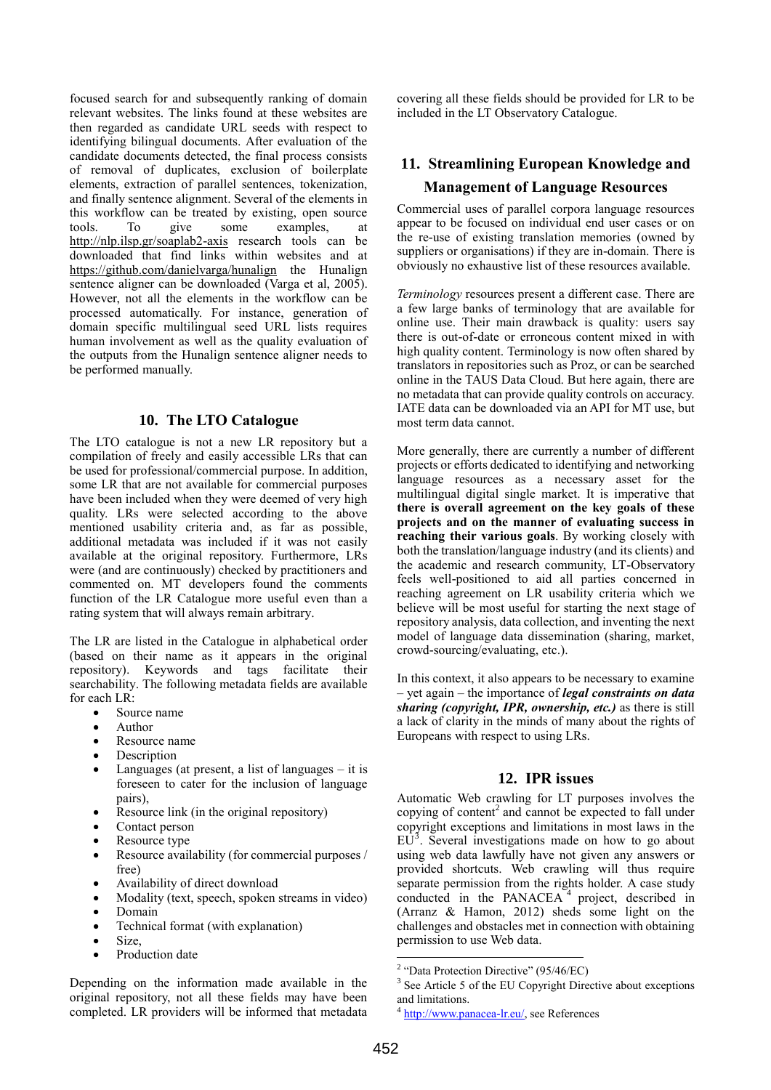focused search for and subsequently ranking of domain relevant websites. The links found at these websites are then regarded as candidate URL seeds with respect to identifying bilingual documents. After evaluation of the candidate documents detected, the final process consists of removal of duplicates, exclusion of boilerplate elements, extraction of parallel sentences, tokenization, and finally sentence alignment. Several of the elements in this workflow can be treated by existing, open source tools. To give some examples at tools. To give some examples, at <http://nlp.ilsp.gr/soaplab2-axis> research tools can be downloaded that find links within websites and at <https://github.com/danielvarga/hunalign> the Hunalign sentence aligner can be downloaded (Varga et al, 2005). However, not all the elements in the workflow can be processed automatically. For instance, generation of domain specific multilingual seed URL lists requires human involvement as well as the quality evaluation of the outputs from the Hunalign sentence aligner needs to be performed manually.

# **10. The LTO Catalogue**

The LTO catalogue is not a new LR repository but a compilation of freely and easily accessible LRs that can be used for professional/commercial purpose. In addition, some LR that are not available for commercial purposes have been included when they were deemed of very high quality. LRs were selected according to the above mentioned usability criteria and, as far as possible, additional metadata was included if it was not easily available at the original repository. Furthermore, LRs were (and are continuously) checked by practitioners and commented on. MT developers found the comments function of the LR Catalogue more useful even than a rating system that will always remain arbitrary.

The LR are listed in the Catalogue in alphabetical order (based on their name as it appears in the original repository). Keywords and tags facilitate their searchability. The following metadata fields are available for each LR:

- Source name
- Author
- Resource name
- Description
- Languages (at present, a list of languages  $-$  it is foreseen to cater for the inclusion of language pairs),
- Resource link (in the original repository)
- Contact person
- Resource type
- Resource availability (for commercial purposes / free)
- Availability of direct download
- Modality (text, speech, spoken streams in video)
- Domain
- Technical format (with explanation)
- Size,
- Production date

Depending on the information made available in the original repository, not all these fields may have been completed. LR providers will be informed that metadata covering all these fields should be provided for LR to be included in the LT Observatory Catalogue.

# **11. Streamlining European Knowledge and Management of Language Resources**

Commercial uses of parallel corpora language resources appear to be focused on individual end user cases or on the re-use of existing translation memories (owned by suppliers or organisations) if they are in-domain. There is obviously no exhaustive list of these resources available.

*Terminology* resources present a different case. There are a few large banks of terminology that are available for online use. Their main drawback is quality: users say there is out-of-date or erroneous content mixed in with high quality content. Terminology is now often shared by translators in repositories such as Proz, or can be searched online in the TAUS Data Cloud. But here again, there are no metadata that can provide quality controls on accuracy. IATE data can be downloaded via an API for MT use, but most term data cannot.

More generally, there are currently a number of different projects or efforts dedicated to identifying and networking language resources as a necessary asset for the multilingual digital single market. It is imperative that **there is overall agreement on the key goals of these projects and on the manner of evaluating success in reaching their various goals**. By working closely with both the translation/language industry (and its clients) and the academic and research community, LT-Observatory feels well-positioned to aid all parties concerned in reaching agreement on LR usability criteria which we believe will be most useful for starting the next stage of repository analysis, data collection, and inventing the next model of language data dissemination (sharing, market, crowd-sourcing/evaluating, etc.).

In this context, it also appears to be necessary to examine – yet again – the importance of *legal constraints on data sharing (copyright, IPR, ownership, etc.)* as there is still a lack of clarity in the minds of many about the rights of Europeans with respect to using LRs.

### **12. IPR issues**

Automatic Web crawling for LT purposes involves the copying of content<sup>2</sup> and cannot be expected to fall under copyright exceptions and limitations in most laws in the  $EU<sup>3</sup>$ . Several investigations made on how to go about using web data lawfully have not given any answers or provided shortcuts. Web crawling will thus require separate permission from the rights holder. A case study conducted in the PANACEA<sup>4</sup> project, described in (Arranz & Hamon, 2012) sheds some light on the challenges and obstacles met in connection with obtaining permission to use Web data.

.

<sup>&</sup>lt;sup>2</sup> "Data Protection Directive" (95/46/EC)

<sup>&</sup>lt;sup>3</sup> See Article 5 of the EU Copyright Directive about exceptions and limitations.

<sup>4</sup> [http://www.panacea-lr.eu/,](http://www.panacea-lr.eu/) see References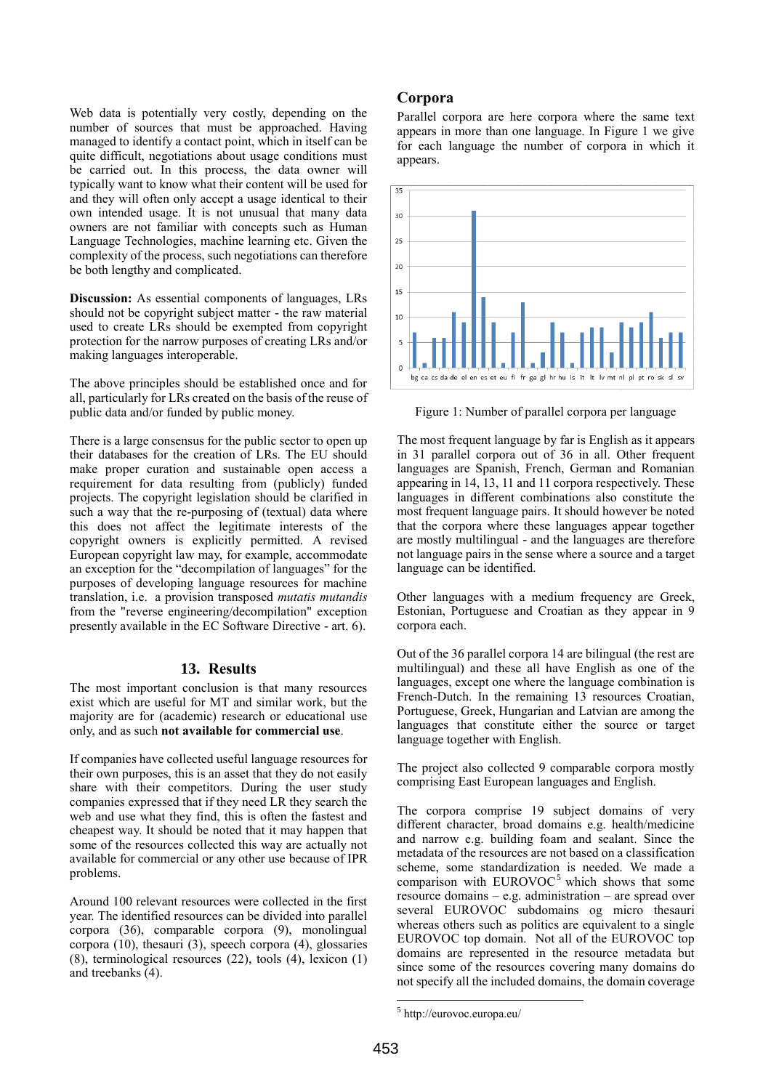Web data is potentially very costly, depending on the number of sources that must be approached. Having managed to identify a contact point, which in itself can be quite difficult, negotiations about usage conditions must be carried out. In this process, the data owner will typically want to know what their content will be used for and they will often only accept a usage identical to their own intended usage. It is not unusual that many data owners are not familiar with concepts such as Human Language Technologies, machine learning etc. Given the complexity of the process, such negotiations can therefore be both lengthy and complicated.

**Discussion:** As essential components of languages, LRs should not be copyright subject matter - the raw material used to create LRs should be exempted from copyright protection for the narrow purposes of creating LRs and/or making languages interoperable.

The above principles should be established once and for all, particularly for LRs created on the basis of the reuse of public data and/or funded by public money.

There is a large consensus for the public sector to open up their databases for the creation of LRs. The EU should make proper curation and sustainable open access a requirement for data resulting from (publicly) funded projects. The copyright legislation should be clarified in such a way that the re-purposing of (textual) data where this does not affect the legitimate interests of the copyright owners is explicitly permitted. A revised European copyright law may, for example, accommodate an exception for the "decompilation of languages" for the purposes of developing language resources for machine translation, i.e. a provision transposed *mutatis mutandis* from the "reverse engineering/decompilation" exception presently available in the EC Software Directive - art. 6).

### **13. Results**

The most important conclusion is that many resources exist which are useful for MT and similar work, but the majority are for (academic) research or educational use only, and as such **not available for commercial use**.

If companies have collected useful language resources for their own purposes, this is an asset that they do not easily share with their competitors. During the user study companies expressed that if they need LR they search the web and use what they find, this is often the fastest and cheapest way. It should be noted that it may happen that some of the resources collected this way are actually not available for commercial or any other use because of IPR problems.

Around 100 relevant resources were collected in the first year. The identified resources can be divided into parallel corpora (36), comparable corpora (9), monolingual corpora (10), thesauri (3), speech corpora (4), glossaries (8), terminological resources (22), tools (4), lexicon (1) and treebanks (4).

### **Corpora**

Parallel corpora are here corpora where the same text appears in more than one language. In Figure 1 we give for each language the number of corpora in which it appears.



Figure 1: Number of parallel corpora per language

The most frequent language by far is English as it appears in 31 parallel corpora out of 36 in all. Other frequent languages are Spanish, French, German and Romanian appearing in 14, 13, 11 and 11 corpora respectively. These languages in different combinations also constitute the most frequent language pairs. It should however be noted that the corpora where these languages appear together are mostly multilingual - and the languages are therefore not language pairs in the sense where a source and a target language can be identified.

Other languages with a medium frequency are Greek, Estonian, Portuguese and Croatian as they appear in 9 corpora each.

Out of the 36 parallel corpora 14 are bilingual (the rest are multilingual) and these all have English as one of the languages, except one where the language combination is French-Dutch. In the remaining 13 resources Croatian, Portuguese, Greek, Hungarian and Latvian are among the languages that constitute either the source or target language together with English.

The project also collected 9 comparable corpora mostly comprising East European languages and English.

The corpora comprise 19 subject domains of very different character, broad domains e.g. health/medicine and narrow e.g. building foam and sealant. Since the metadata of the resources are not based on a classification scheme, some standardization is needed. We made a comparison with  $EUROVOC<sup>5</sup>$  which shows that some resource domains – e.g. administration – are spread over several EUROVOC subdomains og micro thesauri whereas others such as politics are equivalent to a single EUROVOC top domain. Not all of the EUROVOC top domains are represented in the resource metadata but since some of the resources covering many domains do not specify all the included domains, the domain coverage

.

<sup>5</sup> http://eurovoc.europa.eu/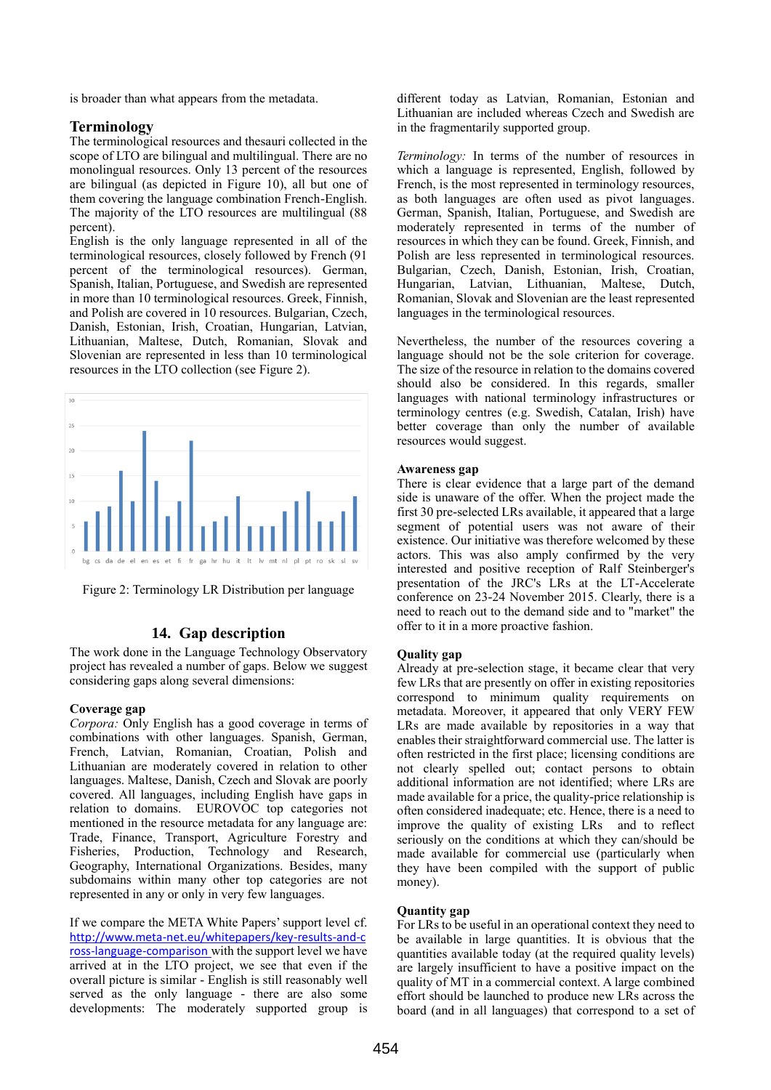is broader than what appears from the metadata.

# **Terminology**

The terminological resources and thesauri collected in the scope of LTO are bilingual and multilingual. There are no monolingual resources. Only 13 percent of the resources are bilingual (as depicted in Figure 10), all but one of them covering the language combination French-English. The majority of the LTO resources are multilingual (88 percent).

English is the only language represented in all of the terminological resources, closely followed by French (91 percent of the terminological resources). German, Spanish, Italian, Portuguese, and Swedish are represented in more than 10 terminological resources. Greek, Finnish, and Polish are covered in 10 resources. Bulgarian, Czech, Danish, Estonian, Irish, Croatian, Hungarian, Latvian, Lithuanian, Maltese, Dutch, Romanian, Slovak and Slovenian are represented in less than 10 terminological resources in the LTO collection (see Figure 2).



Figure 2: Terminology LR Distribution per language

# **14. Gap description**

The work done in the Language Technology Observatory project has revealed a number of gaps. Below we suggest considering gaps along several dimensions:

### **Coverage gap**

*Corpora:* Only English has a good coverage in terms of combinations with other languages. Spanish, German, French, Latvian, Romanian, Croatian, Polish and Lithuanian are moderately covered in relation to other languages. Maltese, Danish, Czech and Slovak are poorly covered. All languages, including English have gaps in relation to domains. EUROVOC top categories not mentioned in the resource metadata for any language are: Trade, Finance, Transport, Agriculture Forestry and Fisheries, Production, Technology and Research, Geography, International Organizations. Besides, many subdomains within many other top categories are not represented in any or only in very few languages.

If we compare the META White Papers' support level cf. http://www.meta-[net.eu/whitepapers/key](http://www.meta-net.eu/whitepapers/key-results-and-cross-language-comparison)-results-and-c ross-language-[comparison](http://www.meta-net.eu/whitepapers/key-results-and-cross-language-comparison) with the support level we have arrived at in the LTO project, we see that even if the overall picture is similar - English is still reasonably well served as the only language - there are also some developments: The moderately supported group is different today as Latvian, Romanian, Estonian and Lithuanian are included whereas Czech and Swedish are in the fragmentarily supported group.

*Terminology:* In terms of the number of resources in which a language is represented, English, followed by French, is the most represented in terminology resources, as both languages are often used as pivot languages. German, Spanish, Italian, Portuguese, and Swedish are moderately represented in terms of the number of resources in which they can be found. Greek, Finnish, and Polish are less represented in terminological resources. Bulgarian, Czech, Danish, Estonian, Irish, Croatian, Hungarian, Latvian, Lithuanian, Maltese, Dutch, Romanian, Slovak and Slovenian are the least represented languages in the terminological resources.

Nevertheless, the number of the resources covering a language should not be the sole criterion for coverage. The size of the resource in relation to the domains covered should also be considered. In this regards, smaller languages with national terminology infrastructures or terminology centres (e.g. Swedish, Catalan, Irish) have better coverage than only the number of available resources would suggest.

### **Awareness gap**

There is clear evidence that a large part of the demand side is unaware of the offer. When the project made the first 30 pre-selected LRs available, it appeared that a large segment of potential users was not aware of their existence. Our initiative was therefore welcomed by these actors. This was also amply confirmed by the very interested and positive reception of Ralf Steinberger's presentation of the JRC's LRs at the LT-Accelerate conference on 23-24 November 2015. Clearly, there is a need to reach out to the demand side and to "market" the offer to it in a more proactive fashion.

### **Quality gap**

Already at pre-selection stage, it became clear that very few LRs that are presently on offer in existing repositories correspond to minimum quality requirements on metadata. Moreover, it appeared that only VERY FEW LRs are made available by repositories in a way that enables their straightforward commercial use. The latter is often restricted in the first place; licensing conditions are not clearly spelled out; contact persons to obtain additional information are not identified; where LRs are made available for a price, the quality-price relationship is often considered inadequate; etc. Hence, there is a need to improve the quality of existing LRs and to reflect seriously on the conditions at which they can/should be made available for commercial use (particularly when they have been compiled with the support of public money).

### **Quantity gap**

For LRs to be useful in an operational context they need to be available in large quantities. It is obvious that the quantities available today (at the required quality levels) are largely insufficient to have a positive impact on the quality of MT in a commercial context. A large combined effort should be launched to produce new LRs across the board (and in all languages) that correspond to a set of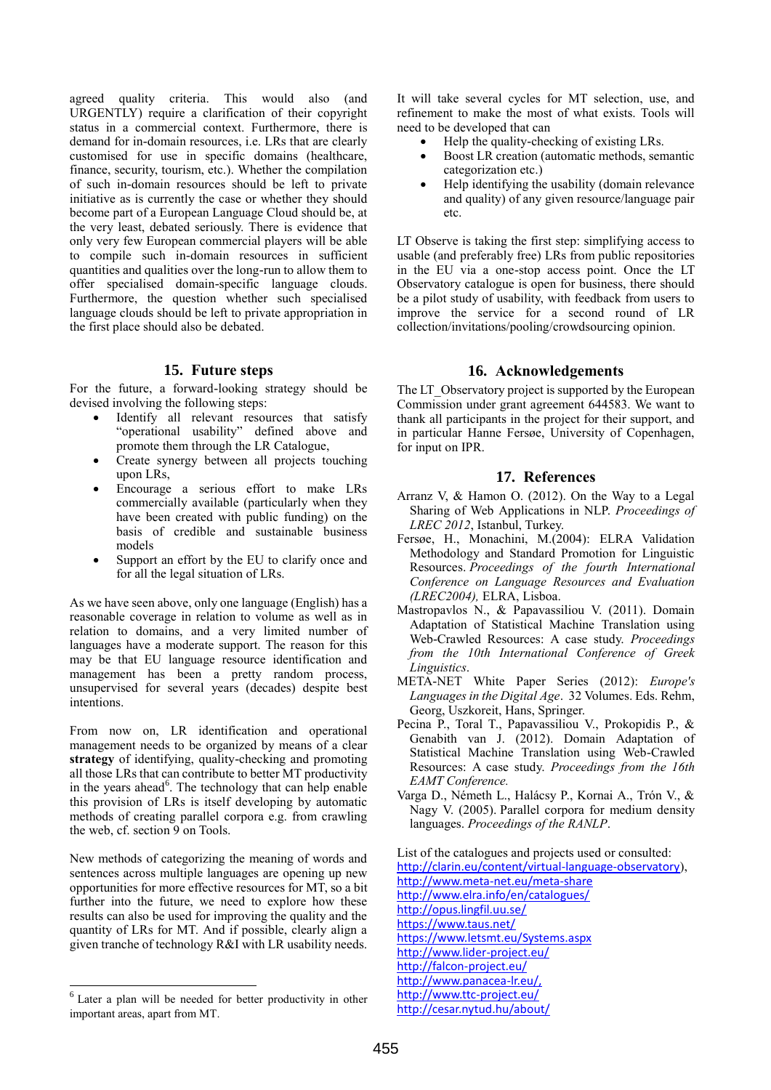agreed quality criteria. This would also (and URGENTLY) require a clarification of their copyright status in a commercial context. Furthermore, there is demand for in-domain resources, i.e. LRs that are clearly customised for use in specific domains (healthcare, finance, security, tourism, etc.). Whether the compilation of such in-domain resources should be left to private initiative as is currently the case or whether they should become part of a European Language Cloud should be, at the very least, debated seriously. There is evidence that only very few European commercial players will be able to compile such in-domain resources in sufficient quantities and qualities over the long-run to allow them to offer specialised domain-specific language clouds. Furthermore, the question whether such specialised language clouds should be left to private appropriation in the first place should also be debated.

# **15. Future steps**

For the future, a forward-looking strategy should be devised involving the following steps:

- Identify all relevant resources that satisfy "operational usability" defined above and promote them through the LR Catalogue,
- Create synergy between all projects touching upon LRs,
- Encourage a serious effort to make LRs commercially available (particularly when they have been created with public funding) on the basis of credible and sustainable business models
- Support an effort by the EU to clarify once and for all the legal situation of LRs.

As we have seen above, only one language (English) has a reasonable coverage in relation to volume as well as in relation to domains, and a very limited number of languages have a moderate support. The reason for this may be that EU language resource identification and management has been a pretty random process, unsupervised for several years (decades) despite best intentions.

From now on, LR identification and operational management needs to be organized by means of a clear **strategy** of identifying, quality-checking and promoting all those LRs that can contribute to better MT productivity in the years ahead<sup>6</sup>. The technology that can help enable this provision of LRs is itself developing by automatic methods of creating parallel corpora e.g. from crawling the web, cf. section 9 on Tools.

New methods of categorizing the meaning of words and sentences across multiple languages are opening up new opportunities for more effective resources for MT, so a bit further into the future, we need to explore how these results can also be used for improving the quality and the quantity of LRs for MT. And if possible, clearly align a given tranche of technology R&I with LR usability needs.

l

It will take several cycles for MT selection, use, and refinement to make the most of what exists. Tools will need to be developed that can

- Help the quality-checking of existing LRs.
- Boost LR creation (automatic methods, semantic categorization etc.)
- Help identifying the usability (domain relevance and quality) of any given resource/language pair etc.

LT Observe is taking the first step: simplifying access to usable (and preferably free) LRs from public repositories in the EU via a one-stop access point. Once the LT Observatory catalogue is open for business, there should be a pilot study of usability, with feedback from users to improve the service for a second round of LR collection/invitations/pooling/crowdsourcing opinion.

# **16. Acknowledgements**

The LT\_Observatory project is supported by the European Commission under grant agreement 644583. We want to thank all participants in the project for their support, and in particular Hanne Fersøe, University of Copenhagen, for input on IPR.

# **17. References**

- Arranz V, & Hamon O. (2012). On the Way to a Legal Sharing of Web Applications in NLP. *Proceedings of LREC 2012*, Istanbul, Turkey.
- Fersøe, H., Monachini, M.(2004): ELRA Validation Methodology and Standard Promotion for Linguistic Resources. *Proceedings of the fourth International Conference on Language Resources and Evaluation (LREC2004),* ELRA, Lisboa.
- Mastropavlos N., & Papavassiliou V. (2011). Domain Adaptation of Statistical Machine Translation using Web-Crawled Resources: A case study. *Proceedings from the 10th International Conference of Greek Linguistics*.
- META-NET White Paper Series (2012): *Europe's Languages in the Digital Age*. 32 Volumes. Eds. Rehm, Georg, Uszkoreit, Hans, Springer.
- Pecina P., Toral T., Papavassiliou V., Prokopidis P., & Genabith van J. (2012). Domain Adaptation of Statistical Machine Translation using Web-Crawled Resources: A case study. *Proceedings from the 16th EAMT Conference.*
- Varga D., Németh L., Halácsy P., Kornai A., Trón V., & Nagy V. (2005). Parallel corpora for medium density languages. *Proceedings of the RANLP*.

List of the catalogues and projects used or consulted: [http://clarin.eu/content/virtual](http://clarin.eu/content/virtual-language-observatory)-language-observatory), [http://www.meta](http://www.meta-net.eu/meta-share)-net.eu/meta-share <http://www.elra.info/en/catalogues/> <http://opus.lingfil.uu.se/> <https://www.taus.net/> <https://www.letsmt.eu/Systems.aspx> [http://www.lider](http://www.lider-project.eu/)-project.eu/ [http://falcon](http://falcon-project.eu/)-project.eu/

[http://www.panacea](http://www.panacea-lr.eu/)-lr.eu/,

[http://www.ttc](http://www.ttc-project.eu/)-project.eu/

<http://cesar.nytud.hu/about/>

<sup>6</sup> Later a plan will be needed for better productivity in other important areas, apart from MT.